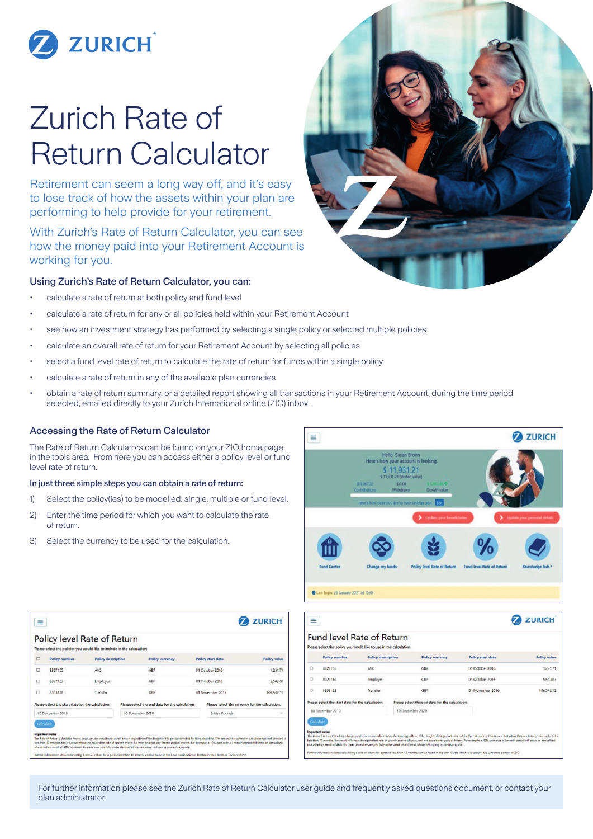

# Zurich Rate of Return Calculator

Retirement can seem a long way off, and it's easy to lose track of how the assets within your plan are performing to help provide for your retirement.

With Zurich's Rate of Return Calculator, you can see how the money paid into your Retirement Account is working for you.

## Using Zurich's Rate of Return Calculator, you can:

- calculate a rate of return at both policy and fund level
- calculate a rate of return for any or all policies held within your Retirement Account
- see how an investment strategy has performed by selecting a single policy or selected multiple policies
- calculate an overall rate of return for your Retirement Account by selecting all policies
- select a fund level rate of return to calculate the rate of return for funds within a single policy
- calculate a rate of return in any of the available plan currencies
- obtain a rate of return summary, or a detailed report showing all transactions in your Retirement Account, during the time period selected, emailed directly to your Zurich International online (ZIO) inbox.

### Accessing the Rate of Return Calculator

The Rate of Return Calculators can be found on your ZIO home page, in the tools area. From here you can access either a policy level or fund level rate of return.

#### In just three simple steps you can obtain a rate of return:

- 1) Select the policy(ies) to be modelled: single, multiple or fund level.
- 2) Enter the time period for which you want to calculate the rate of return.
- 3) Select the currency to be used for the calculation.



| $\equiv$                                          | Policy level Rate of Return<br>Please select the policies you would like to include in the calculation: |                           |                                                 |                                                                                                                                                                                                                                                                                                                                                                                                                                                                                                                                              |                          |                                                 | <b>ZURICH</b>       |
|---------------------------------------------------|---------------------------------------------------------------------------------------------------------|---------------------------|-------------------------------------------------|----------------------------------------------------------------------------------------------------------------------------------------------------------------------------------------------------------------------------------------------------------------------------------------------------------------------------------------------------------------------------------------------------------------------------------------------------------------------------------------------------------------------------------------------|--------------------------|-------------------------------------------------|---------------------|
| □                                                 | <b>Policy number</b>                                                                                    | <b>Policy description</b> | <b>Policy currency</b>                          |                                                                                                                                                                                                                                                                                                                                                                                                                                                                                                                                              | <b>Policy start date</b> |                                                 | <b>Policy value</b> |
| $\Box$                                            | 8327155                                                                                                 | <b>AVC</b>                |                                                 | GBP                                                                                                                                                                                                                                                                                                                                                                                                                                                                                                                                          | 01 October 2016          |                                                 | 1,231.71            |
| $\Box$                                            | 8327163                                                                                                 | Employer                  |                                                 | GBP                                                                                                                                                                                                                                                                                                                                                                                                                                                                                                                                          | 01 October 2016          |                                                 | 5.543.07            |
| o                                                 | 8333128                                                                                                 | Transfer                  |                                                 | GBP                                                                                                                                                                                                                                                                                                                                                                                                                                                                                                                                          | 01 November 2016         |                                                 | 106,542,12          |
| Please select the start date for the calculation: |                                                                                                         |                           | Please select the end date for the calculation: |                                                                                                                                                                                                                                                                                                                                                                                                                                                                                                                                              |                          | Please select the currency for the calculation: |                     |
| 10 December 2019                                  |                                                                                                         |                           |                                                 | 10 December 2020                                                                                                                                                                                                                                                                                                                                                                                                                                                                                                                             |                          | <b>British Pounds</b>                           |                     |
|                                                   | Calculate<br><b>Important notes</b>                                                                     |                           |                                                 | The Rate of Return Calm later always produces an annualised rate of return regardless of the longth of the period selected for the calculation. This means that when the calculation period selected is<br>jest than 12 months, the result will show the equivalent rate of growth over a full year, and not any shorter period chosen, for example, a 10% oain over a 3 month period oill show an annualised<br>rate of return result of 46%. You need to make sure you fully understand what the calculator is showing you in its outputs. |                          |                                                 |                     |

|                  | <b>Policy number</b>                              | <b>Policy description</b> |                  | <b>Policy currency</b>                                                                                                      | <b>Policy start date</b>                                                                                                                                                                                                                                                                                                                                                                                      | <b>Policy value</b> |
|------------------|---------------------------------------------------|---------------------------|------------------|-----------------------------------------------------------------------------------------------------------------------------|---------------------------------------------------------------------------------------------------------------------------------------------------------------------------------------------------------------------------------------------------------------------------------------------------------------------------------------------------------------------------------------------------------------|---------------------|
| Ó                | 8327155                                           | <b>AVC</b>                |                  | GBP                                                                                                                         | 01 October 2016                                                                                                                                                                                                                                                                                                                                                                                               | 1,231.71            |
| O                | B327583                                           | Employer                  |                  | <b>GBP</b>                                                                                                                  | 01 October 2016                                                                                                                                                                                                                                                                                                                                                                                               | 5,543,07            |
| O                | 8333128                                           | Transfer                  |                  | <b>GBP</b>                                                                                                                  | 01 November 2016                                                                                                                                                                                                                                                                                                                                                                                              | 106,542.12          |
|                  | Please select the start date for the calculation: |                           |                  | Please select the end date for the calculation:                                                                             |                                                                                                                                                                                                                                                                                                                                                                                                               |                     |
| 10 December 2019 |                                                   |                           | 10 December 2020 |                                                                                                                             |                                                                                                                                                                                                                                                                                                                                                                                                               |                     |
|                  | Calculate                                         |                           |                  |                                                                                                                             |                                                                                                                                                                                                                                                                                                                                                                                                               |                     |
|                  | <b>Important</b> notes                            |                           |                  | rate of return result of 46%. You need to make sure you fully understand what the calculator is showing you in its outputs. | The Kate of Return Calculator always produces an annualised rate of return regardless of the longth of the period solected for the calculation. This means that when the calculation period selected is<br>less than 12 months, the result will show the equivalent rate of growth over a full year, and not any shorter period chosen. For example, a 10% gain over a 3 month period will show an annualised |                     |

**2** ZURICH

For further information please see the Zurich Rate of Return Calculator user guide and frequently asked questions document, or contact your plan administrator.

 $\equiv$